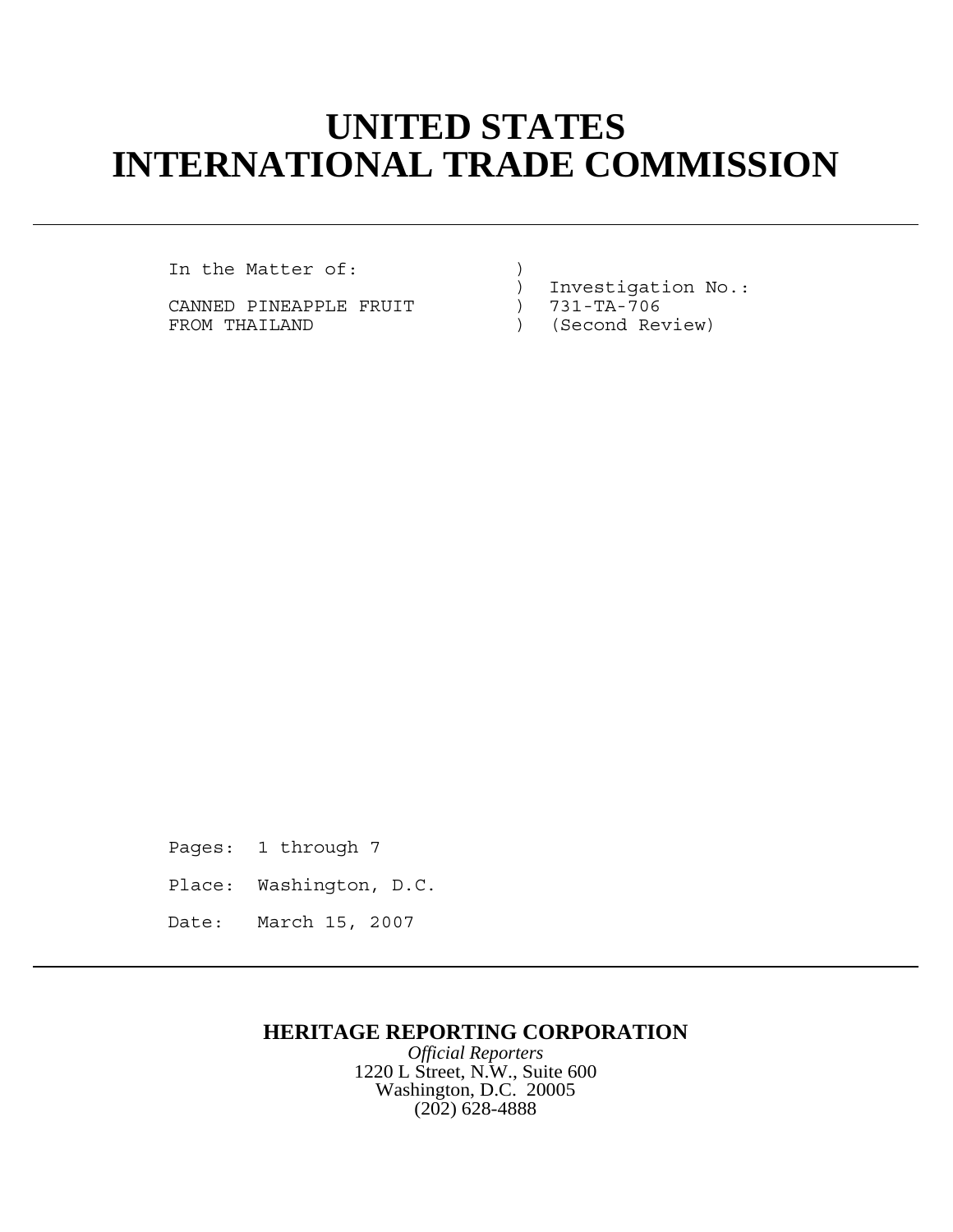## **UNITED STATES INTERNATIONAL TRADE COMMISSION**

In the Matter of:

CANNED PINEAPPLE FRUIT FROM THAILAND (Second Review)

) Investigation No.:<br>) 731-TA-706

Pages: 1 through 7 Place: Washington, D.C. Date: March 15, 2007

## **HERITAGE REPORTING CORPORATION**

*Official Reporters* 1220 L Street, N.W., Suite 600 Washington, D.C. 20005 (202) 628-4888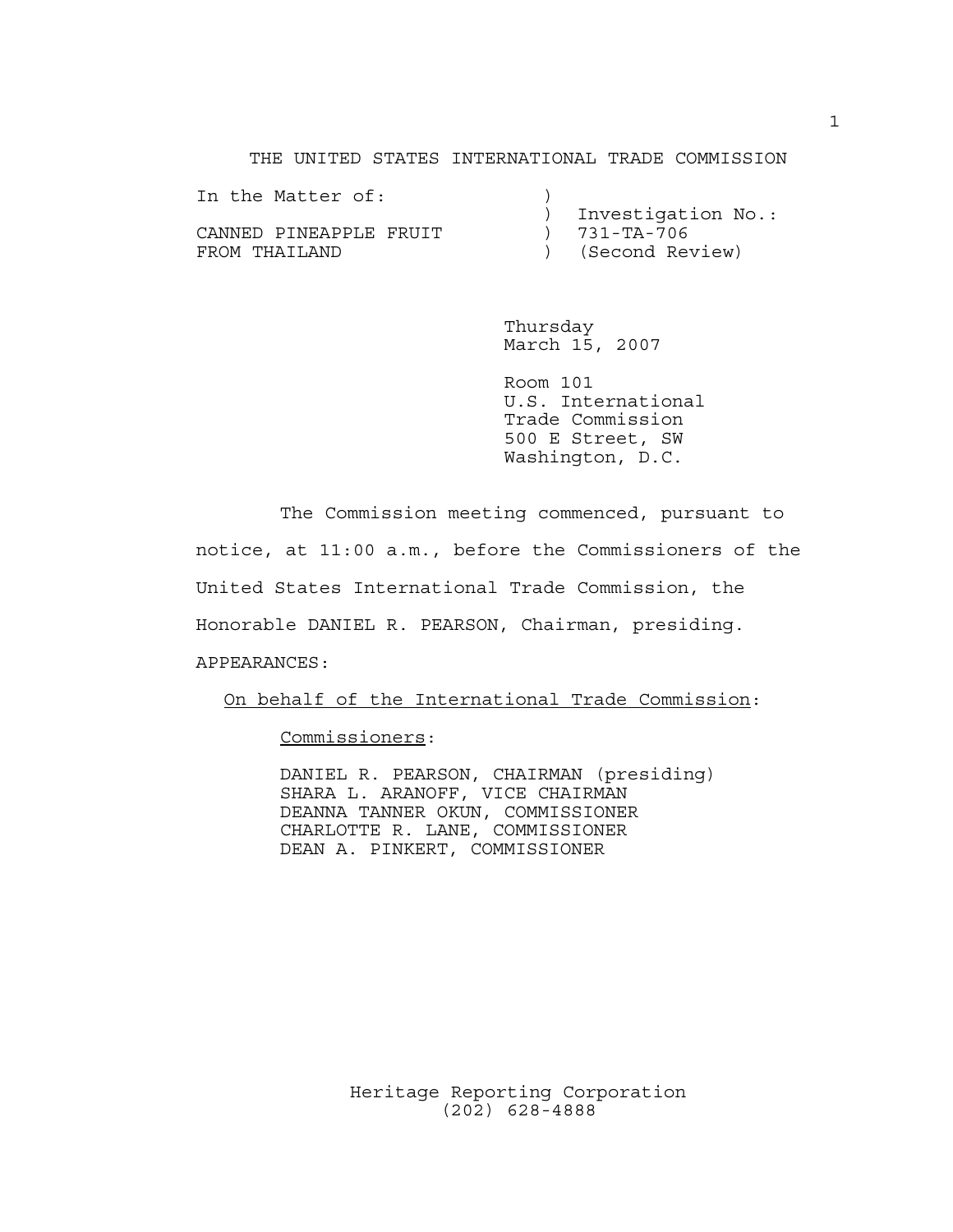THE UNITED STATES INTERNATIONAL TRADE COMMISSION

| In the Matter of:      |                    |
|------------------------|--------------------|
|                        | Investigation No.: |
| CANNED PINFAPPLE FRUIT | 731-TA-706         |
| FROM THAILAND          | (Second Review)    |

Thursday March 15, 2007

Room 101 U.S. International Trade Commission 500 E Street, SW Washington, D.C.

The Commission meeting commenced, pursuant to notice, at 11:00 a.m., before the Commissioners of the United States International Trade Commission, the Honorable DANIEL R. PEARSON, Chairman, presiding. APPEARANCES:

On behalf of the International Trade Commission:

Commissioners:

DANIEL R. PEARSON, CHAIRMAN (presiding) SHARA L. ARANOFF, VICE CHAIRMAN DEANNA TANNER OKUN, COMMISSIONER CHARLOTTE R. LANE, COMMISSIONER DEAN A. PINKERT, COMMISSIONER

> Heritage Reporting Corporation (202) 628-4888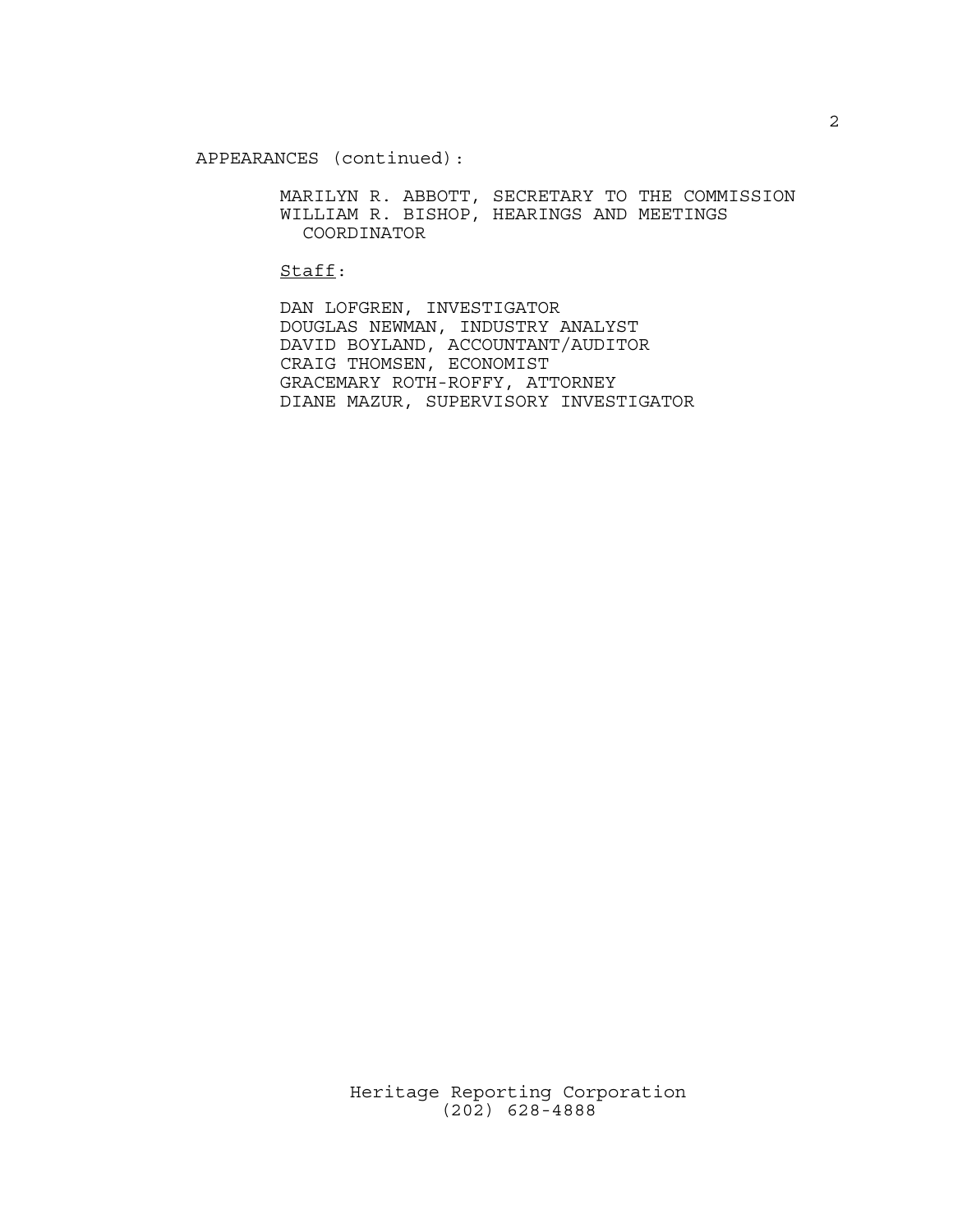APPEARANCES (continued):

MARILYN R. ABBOTT, SECRETARY TO THE COMMISSION WILLIAM R. BISHOP, HEARINGS AND MEETINGS COORDINATOR

Staff:

DAN LOFGREN, INVESTIGATOR DOUGLAS NEWMAN, INDUSTRY ANALYST DAVID BOYLAND, ACCOUNTANT/AUDITOR CRAIG THOMSEN, ECONOMIST GRACEMARY ROTH-ROFFY, ATTORNEY DIANE MAZUR, SUPERVISORY INVESTIGATOR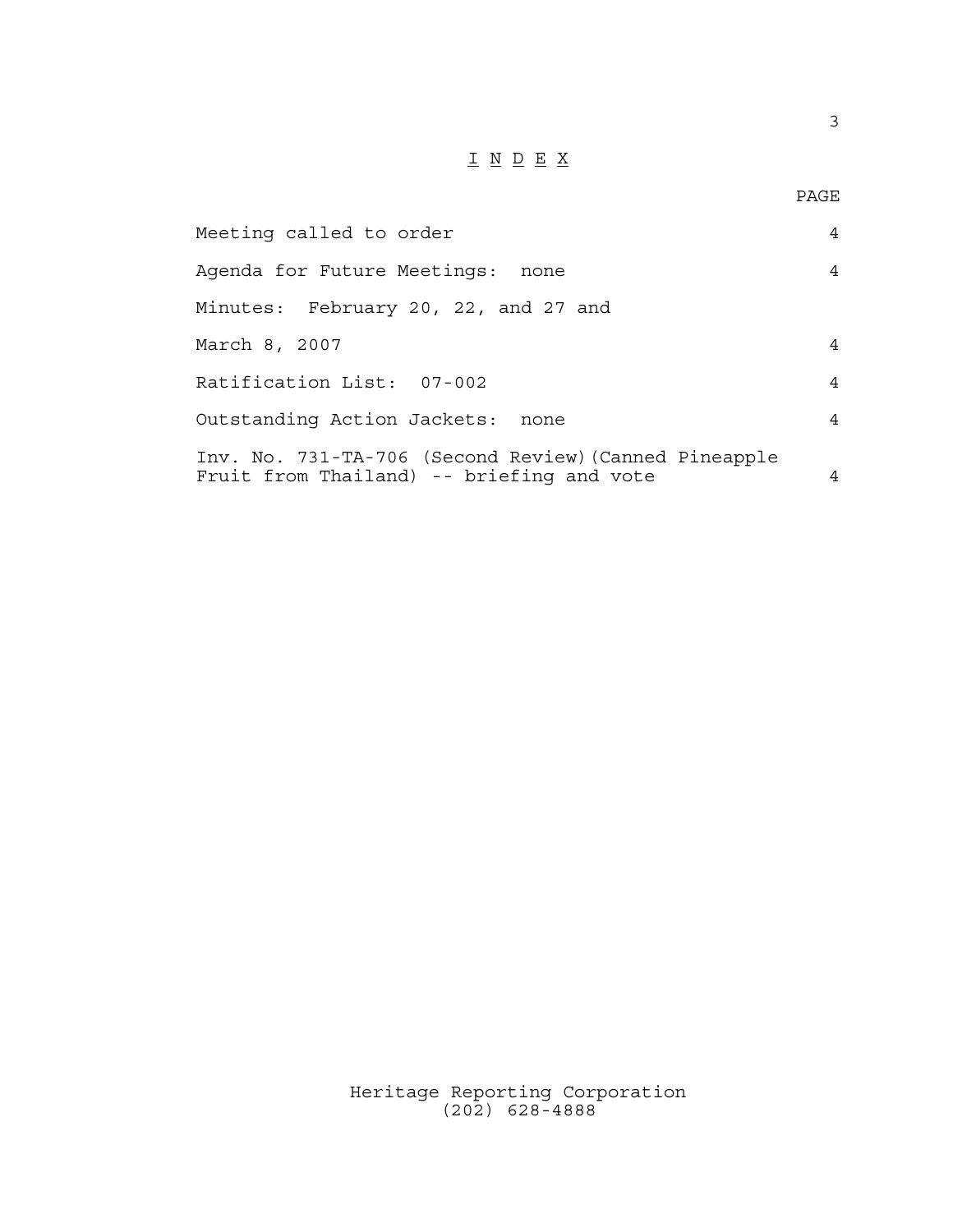## I N D E X

3

| Meeting called to order                                                                            | $\overline{4}$ |
|----------------------------------------------------------------------------------------------------|----------------|
| Agenda for Future Meetings: none                                                                   | $\overline{4}$ |
| Minutes: February 20, 22, and 27 and                                                               |                |
| March 8, 2007                                                                                      | $\overline{4}$ |
| Ratification List: 07-002                                                                          | $\overline{4}$ |
| Outstanding Action Jackets: none                                                                   | $\overline{4}$ |
| Inv. No. 731-TA-706 (Second Review) (Canned Pineapple<br>Fruit from Thailand) -- briefing and vote | $\overline{4}$ |

Heritage Reporting Corporation (202) 628-4888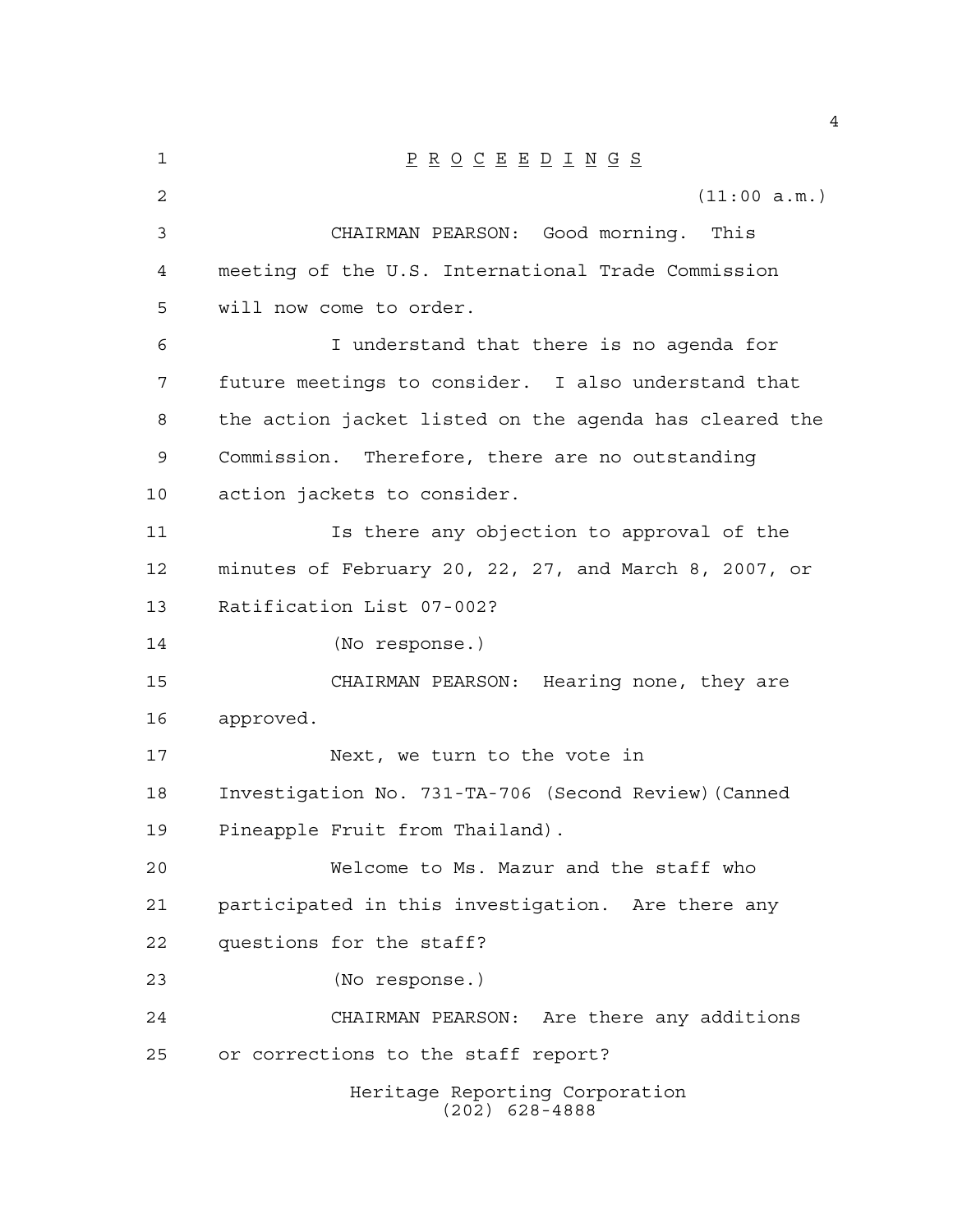| $\mathbf 1$ | $\underline{P} \underline{R} \underline{O} \underline{C} \underline{E} \underline{E} \underline{D} \underline{I} \underline{N} \underline{G} \underline{S}$ |
|-------------|-------------------------------------------------------------------------------------------------------------------------------------------------------------|
| 2           | (11:00 a.m.)                                                                                                                                                |
| 3           | CHAIRMAN PEARSON: Good morning. This                                                                                                                        |
| 4           | meeting of the U.S. International Trade Commission                                                                                                          |
| 5           | will now come to order.                                                                                                                                     |
| 6           | I understand that there is no agenda for                                                                                                                    |
| 7           | future meetings to consider. I also understand that                                                                                                         |
| 8           | the action jacket listed on the agenda has cleared the                                                                                                      |
| 9           | Commission. Therefore, there are no outstanding                                                                                                             |
| 10          | action jackets to consider.                                                                                                                                 |
| 11          | Is there any objection to approval of the                                                                                                                   |
| 12          | minutes of February 20, 22, 27, and March 8, 2007, or                                                                                                       |
| 13          | Ratification List 07-002?                                                                                                                                   |
| 14          | (No response.)                                                                                                                                              |
| 15          | CHAIRMAN PEARSON: Hearing none, they are                                                                                                                    |
| 16          | approved.                                                                                                                                                   |
| 17          | Next, we turn to the vote in                                                                                                                                |
| 18          | Investigation No. 731-TA-706 (Second Review) (Canned                                                                                                        |
| 19          | Pineapple Fruit from Thailand).                                                                                                                             |
| 20          | Welcome to Ms. Mazur and the staff who                                                                                                                      |
| 21          | participated in this investigation. Are there any                                                                                                           |
| 22          | questions for the staff?                                                                                                                                    |
| 23          | (No response.)                                                                                                                                              |
| 24          | CHAIRMAN PEARSON: Are there any additions                                                                                                                   |
| 25          | or corrections to the staff report?                                                                                                                         |
|             | Heritage Reporting Corporation<br>$(202)$ 628-4888                                                                                                          |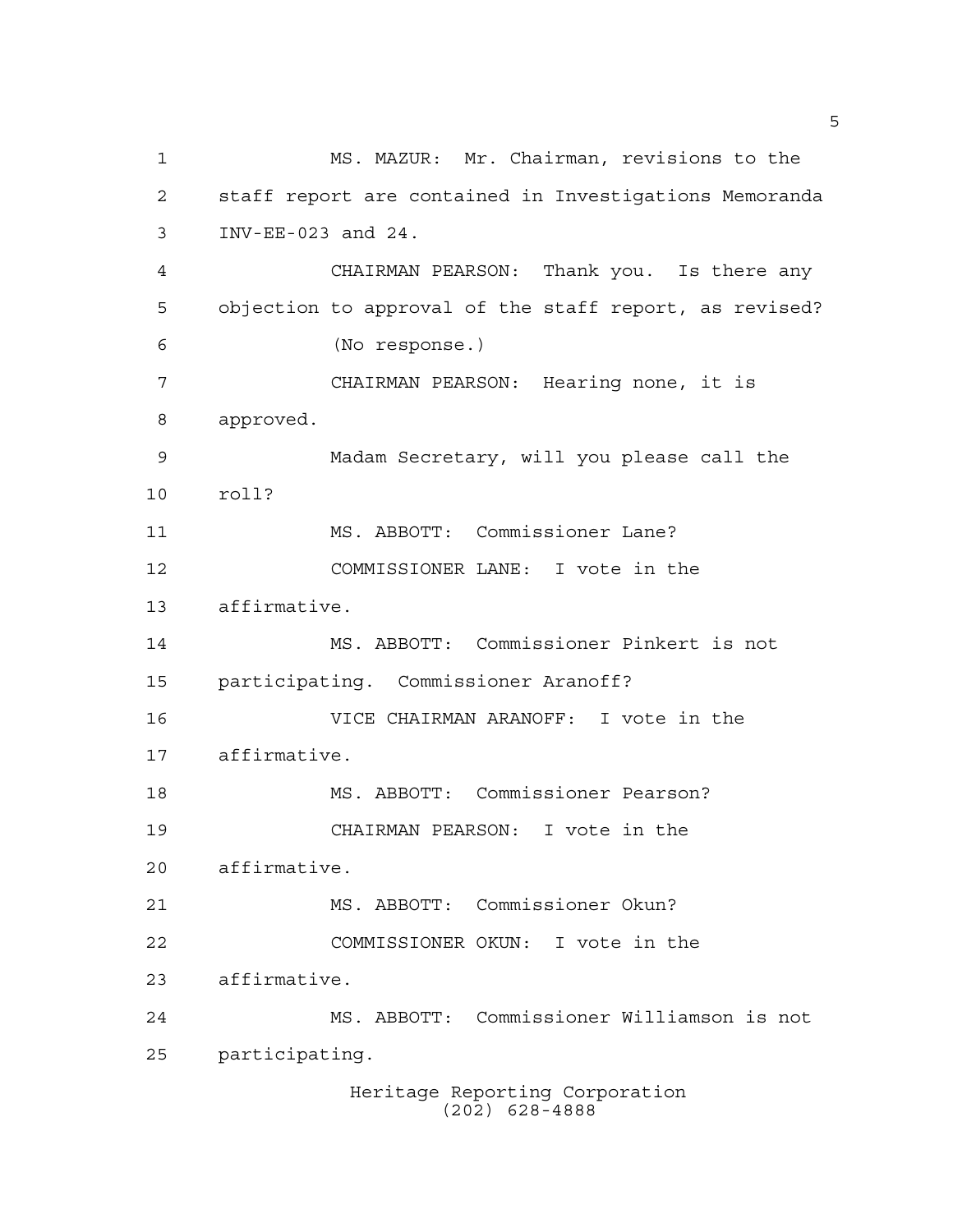Heritage Reporting Corporation (202) 628-4888 MS. MAZUR: Mr. Chairman, revisions to the staff report are contained in Investigations Memoranda INV-EE-023 and 24. CHAIRMAN PEARSON: Thank you. Is there any objection to approval of the staff report, as revised? (No response.) CHAIRMAN PEARSON: Hearing none, it is approved. Madam Secretary, will you please call the roll? MS. ABBOTT: Commissioner Lane? COMMISSIONER LANE: I vote in the affirmative. MS. ABBOTT: Commissioner Pinkert is not participating. Commissioner Aranoff? VICE CHAIRMAN ARANOFF: I vote in the affirmative. MS. ABBOTT: Commissioner Pearson? CHAIRMAN PEARSON: I vote in the affirmative. MS. ABBOTT: Commissioner Okun? COMMISSIONER OKUN: I vote in the affirmative. MS. ABBOTT: Commissioner Williamson is not participating.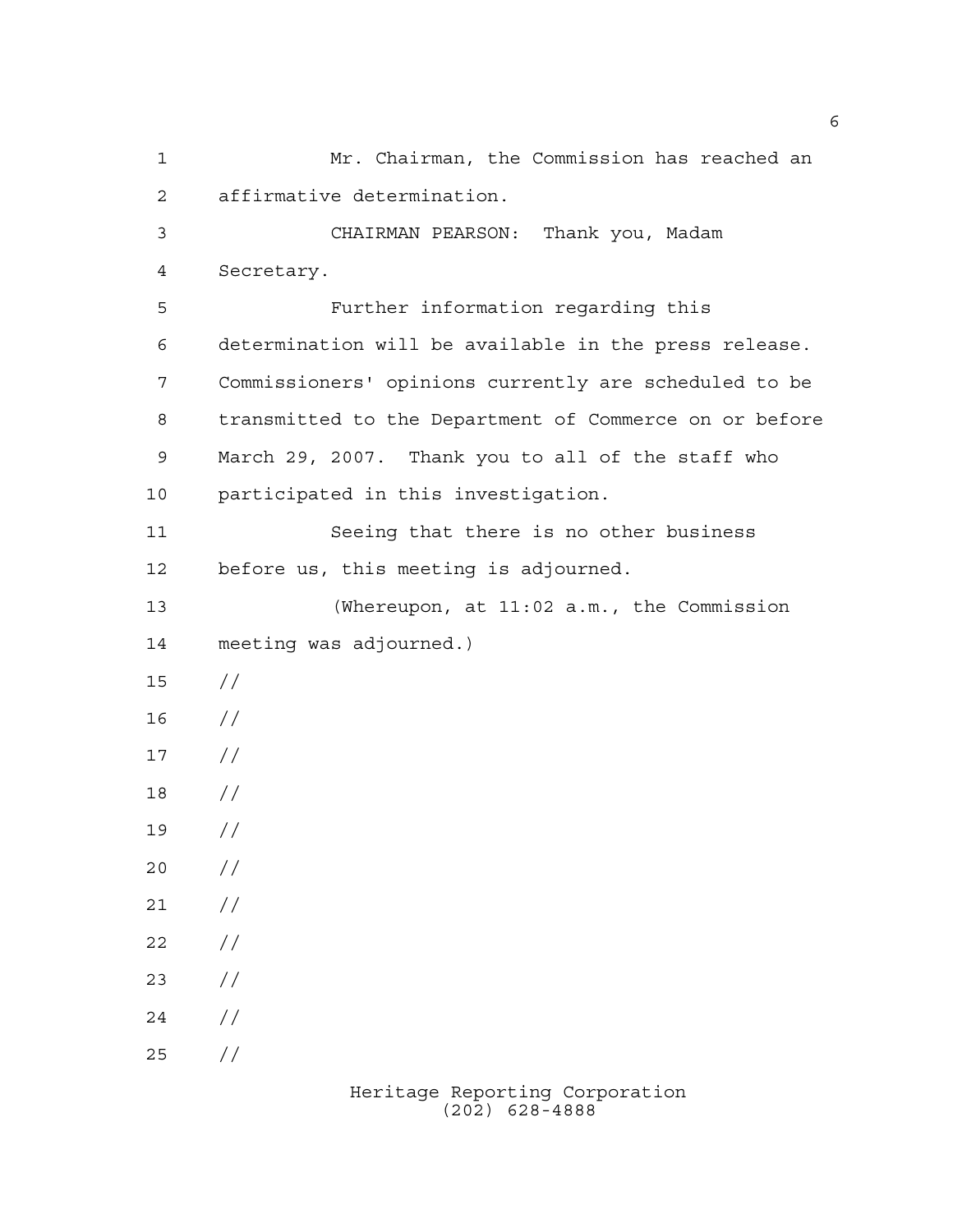Mr. Chairman, the Commission has reached an affirmative determination. CHAIRMAN PEARSON: Thank you, Madam Secretary. Further information regarding this determination will be available in the press release. Commissioners' opinions currently are scheduled to be transmitted to the Department of Commerce on or before March 29, 2007. Thank you to all of the staff who participated in this investigation. Seeing that there is no other business before us, this meeting is adjourned. (Whereupon, at 11:02 a.m., the Commission meeting was adjourned.) // //  $17 /$  // //  $20 /$  $21 /$  $22 / /$  $23 / /$  $24 /$  $25 / /$ 

> Heritage Reporting Corporation (202) 628-4888